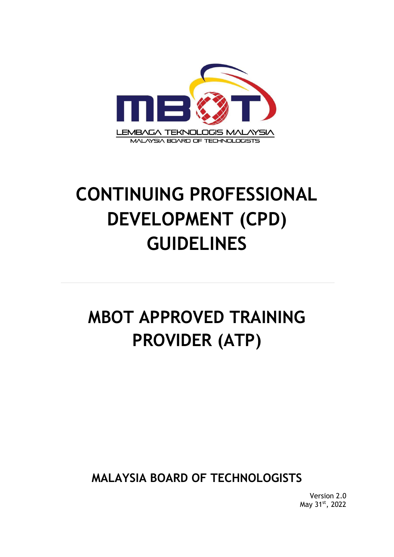

# **CONTINUING PROFESSIONAL DEVELOPMENT (CPD) GUIDELINES**

## **MBOT APPROVED TRAINING PROVIDER (ATP)**

**MALAYSIA BOARD OF TECHNOLOGISTS**

Version 2.0 May 31st, 2022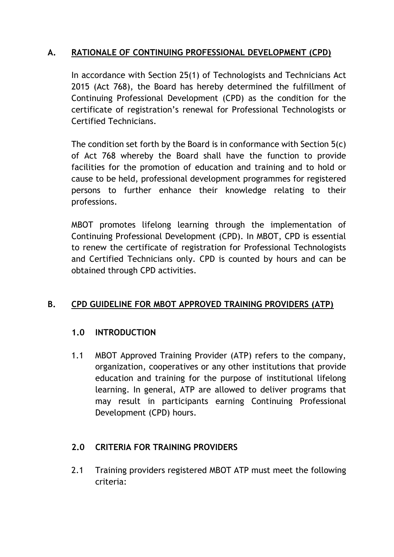## **A. RATIONALE OF CONTINUING PROFESSIONAL DEVELOPMENT (CPD)**

In accordance with Section 25(1) of Technologists and Technicians Act 2015 (Act 768), the Board has hereby determined the fulfillment of Continuing Professional Development (CPD) as the condition for the certificate of registration's renewal for Professional Technologists or Certified Technicians.

The condition set forth by the Board is in conformance with Section 5(c) of Act 768 whereby the Board shall have the function to provide facilities for the promotion of education and training and to hold or cause to be held, professional development programmes for registered persons to further enhance their knowledge relating to their professions.

MBOT promotes lifelong learning through the implementation of Continuing Professional Development (CPD). In MBOT, CPD is essential to renew the certificate of registration for Professional Technologists and Certified Technicians only. CPD is counted by hours and can be obtained through CPD activities.

#### **B. CPD GUIDELINE FOR MBOT APPROVED TRAINING PROVIDERS (ATP)**

#### **1.0 INTRODUCTION**

1.1 MBOT Approved Training Provider (ATP) refers to the company, organization, cooperatives or any other institutions that provide education and training for the purpose of institutional lifelong learning. In general, ATP are allowed to deliver programs that may result in participants earning Continuing Professional Development (CPD) hours.

#### **2.0 CRITERIA FOR TRAINING PROVIDERS**

2.1 Training providers registered MBOT ATP must meet the following criteria: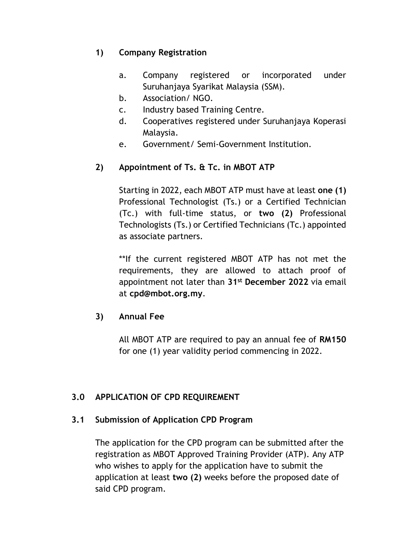## **1) Company Registration**

- a. Company registered or incorporated under Suruhanjaya Syarikat Malaysia (SSM).
- b. Association/ NGO.
- c. Industry based Training Centre.
- d. Cooperatives registered under Suruhanjaya Koperasi Malaysia.
- e. Government/ Semi-Government Institution.

## **2) Appointment of Ts. & Tc. in MBOT ATP**

Starting in 2022, each MBOT ATP must have at least **one (1)**  Professional Technologist (Ts.) or a Certified Technician (Tc.) with full-time status, or **two (2)** Professional Technologists (Ts.) or Certified Technicians (Tc.) appointed as associate partners.

\*\*If the current registered MBOT ATP has not met the requirements, they are allowed to attach proof of appointment not later than **31st December 2022** via email at **cpd@mbot.org.my**.

## **3) Annual Fee**

All MBOT ATP are required to pay an annual fee of **RM150** for one (1) year validity period commencing in 2022.

## **3.0 APPLICATION OF CPD REQUIREMENT**

## **3.1 Submission of Application CPD Program**

The application for the CPD program can be submitted after the registration as MBOT Approved Training Provider (ATP). Any ATP who wishes to apply for the application have to submit the application at least **two (2)** weeks before the proposed date of said CPD program.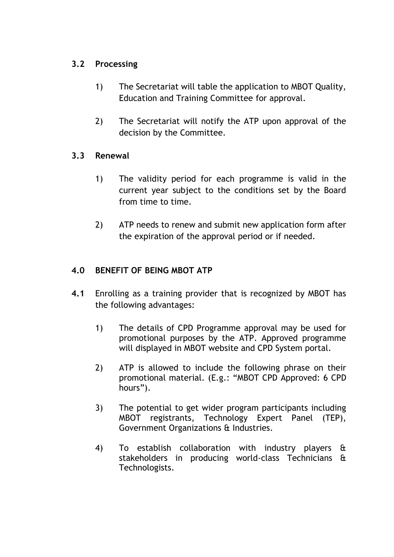## **3.2 Processing**

- 1) The Secretariat will table the application to MBOT Quality, Education and Training Committee for approval.
- 2) The Secretariat will notify the ATP upon approval of the decision by the Committee.

## **3.3 Renewal**

- 1) The validity period for each programme is valid in the current year subject to the conditions set by the Board from time to time.
- 2) ATP needs to renew and submit new application form after the expiration of the approval period or if needed.

## **4.0 BENEFIT OF BEING MBOT ATP**

- **4.1** Enrolling as a training provider that is recognized by MBOT has the following advantages:
	- 1) The details of CPD Programme approval may be used for promotional purposes by the ATP. Approved programme will displayed in MBOT website and CPD System portal.
	- 2) ATP is allowed to include the following phrase on their promotional material. (E.g.: "MBOT CPD Approved: 6 CPD hours").
	- 3) The potential to get wider program participants including MBOT registrants, Technology Expert Panel (TEP), Government Organizations & Industries.
	- 4) To establish collaboration with industry players & stakeholders in producing world-class Technicians & Technologists.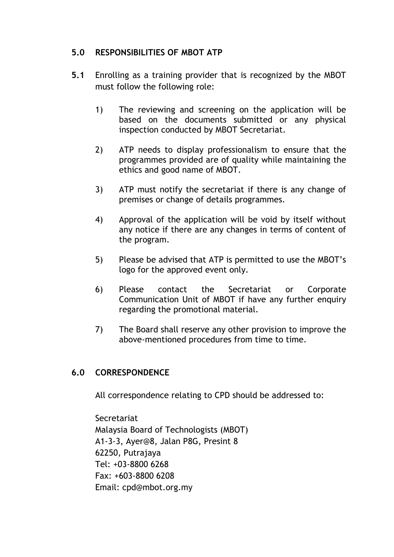#### **5.0 RESPONSIBILITIES OF MBOT ATP**

- **5.1** Enrolling as a training provider that is recognized by the MBOT must follow the following role:
	- 1) The reviewing and screening on the application will be based on the documents submitted or any physical inspection conducted by MBOT Secretariat.
	- 2) ATP needs to display professionalism to ensure that the programmes provided are of quality while maintaining the ethics and good name of MBOT.
	- 3) ATP must notify the secretariat if there is any change of premises or change of details programmes.
	- 4) Approval of the application will be void by itself without any notice if there are any changes in terms of content of the program.
	- 5) Please be advised that ATP is permitted to use the MBOT's logo for the approved event only.
	- 6) Please contact the Secretariat or Corporate Communication Unit of MBOT if have any further enquiry regarding the promotional material.
	- 7) The Board shall reserve any other provision to improve the above-mentioned procedures from time to time.

## **6.0 CORRESPONDENCE**

All correspondence relating to CPD should be addressed to:

**Secretariat** Malaysia Board of Technologists (MBOT) A1-3-3, Ayer@8, Jalan P8G, Presint 8 62250, Putrajaya Tel: +03-8800 6268 Fax: +603-8800 6208 Email: cpd@mbot.org.my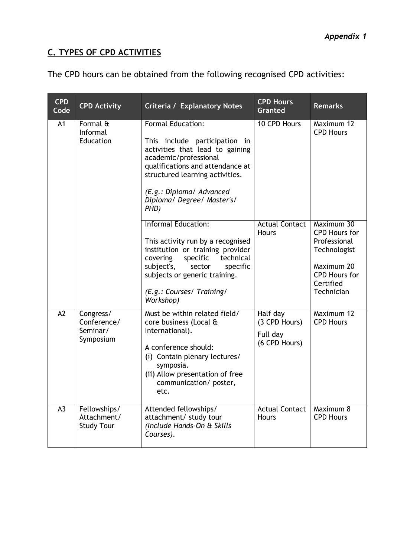## **C. TYPES OF CPD ACTIVITIES**

|  |  | The CPD hours can be obtained from the following recognised CPD activities: |
|--|--|-----------------------------------------------------------------------------|
|  |  |                                                                             |

| <b>CPD</b><br>Code | <b>CPD Activity</b>                               | <b>Criteria / Explanatory Notes</b>                                                                                                                                                                                                                            | <b>CPD Hours</b><br><b>Granted</b>                     | <b>Remarks</b>                                                                                                                      |
|--------------------|---------------------------------------------------|----------------------------------------------------------------------------------------------------------------------------------------------------------------------------------------------------------------------------------------------------------------|--------------------------------------------------------|-------------------------------------------------------------------------------------------------------------------------------------|
| A <sub>1</sub>     | Formal &<br>Informal<br>Education                 | <b>Formal Education:</b><br>This include participation in<br>activities that lead to gaining<br>academic/professional<br>qualifications and attendance at<br>structured learning activities.<br>(E.g.: Diploma/ Advanced<br>Diploma/ Degree/ Master's/<br>PHD) | 10 CPD Hours                                           | Maximum 12<br><b>CPD Hours</b>                                                                                                      |
|                    |                                                   | <b>Informal Education:</b><br>This activity run by a recognised<br>institution or training provider<br>covering<br>specific<br>technical<br>subject's,<br>specific<br>sector<br>subjects or generic training.<br>(E.g.: Courses/ Training/<br>Workshop)        | <b>Actual Contact</b><br><b>Hours</b>                  | Maximum 30<br><b>CPD Hours for</b><br>Professional<br>Technologist<br>Maximum 20<br><b>CPD Hours for</b><br>Certified<br>Technician |
| A2                 | Congress/<br>Conference/<br>Seminar/<br>Symposium | Must be within related field/<br>core business (Local &<br>International).<br>A conference should:<br>(i) Contain plenary lectures/<br>symposia.<br>(ii) Allow presentation of free<br>communication/poster,<br>etc.                                           | Half day<br>(3 CPD Hours)<br>Full day<br>(6 CPD Hours) | Maximum 12<br><b>CPD Hours</b>                                                                                                      |
| $\overline{A3}$    | Fellowships/<br>Attachment/<br><b>Study Tour</b>  | Attended fellowships/<br>attachment/ study tour<br>(Include Hands-On & Skills<br>Courses).                                                                                                                                                                     | <b>Actual Contact</b><br>Hours                         | Maximum 8<br><b>CPD Hours</b>                                                                                                       |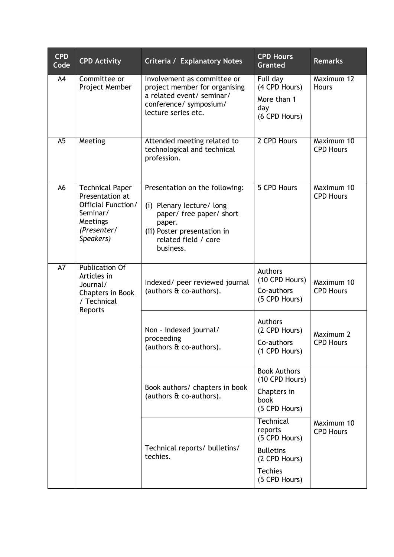| <b>CPD</b><br>Code                                    | <b>CPD Activity</b>                                                                                                 | <b>Criteria / Explanatory Notes</b>                                                                                                                                   | <b>CPD Hours</b><br><b>Granted</b>                                                                            | <b>Remarks</b>                 |
|-------------------------------------------------------|---------------------------------------------------------------------------------------------------------------------|-----------------------------------------------------------------------------------------------------------------------------------------------------------------------|---------------------------------------------------------------------------------------------------------------|--------------------------------|
| A <sub>4</sub>                                        | Committee or<br>Project Member                                                                                      | Involvement as committee or<br>project member for organising<br>a related event/ seminar/<br>conference/ symposium/<br>lecture series etc.                            | Full day<br>(4 CPD Hours)<br>More than 1<br>day<br>(6 CPD Hours)                                              | Maximum 12<br>Hours            |
| A <sub>5</sub>                                        | Meeting                                                                                                             | Attended meeting related to<br>technological and technical<br>profession.                                                                                             | 2 CPD Hours                                                                                                   | Maximum 10<br><b>CPD Hours</b> |
| A6                                                    | <b>Technical Paper</b><br>Presentation at<br>Official Function/<br>Seminar/<br>Meetings<br>(Presenter/<br>Speakers) | Presentation on the following:<br>(i) Plenary lecture/ long<br>paper/ free paper/ short<br>paper.<br>(ii) Poster presentation in<br>related field / core<br>business. | 5 CPD Hours                                                                                                   | Maximum 10<br><b>CPD Hours</b> |
| $\overline{A7}$<br>Articles in<br>Journal/<br>Reports | <b>Publication Of</b><br>Chapters in Book<br>/ Technical                                                            | Indexed/ peer reviewed journal<br>(authors & co-authors).                                                                                                             | Authors<br>(10 CPD Hours)<br>Co-authors<br>(5 CPD Hours)                                                      | Maximum 10<br><b>CPD Hours</b> |
|                                                       |                                                                                                                     | Non - indexed journal/<br>proceeding<br>(authors & co-authors).                                                                                                       | Authors<br>(2 CPD Hours)<br>Co-authors<br>(1 CPD Hours)                                                       | Maximum 2<br><b>CPD Hours</b>  |
|                                                       |                                                                                                                     | Book authors/ chapters in book<br>(authors & co-authors).                                                                                                             | <b>Book Authors</b><br>(10 CPD Hours)<br>Chapters in<br>book<br>(5 CPD Hours)                                 |                                |
|                                                       |                                                                                                                     | Technical reports/ bulletins/<br>techies.                                                                                                                             | Technical<br>reports<br>(5 CPD Hours)<br><b>Bulletins</b><br>(2 CPD Hours)<br><b>Techies</b><br>(5 CPD Hours) | Maximum 10<br><b>CPD Hours</b> |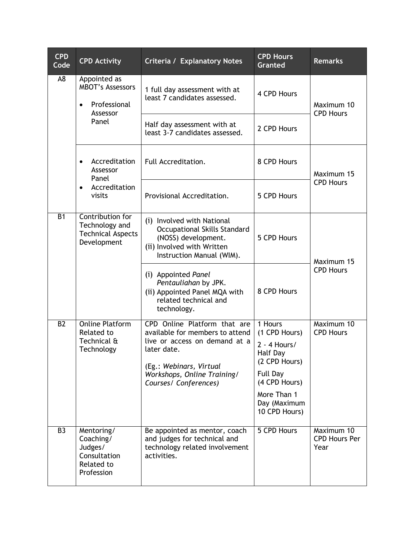| <b>CPD</b><br>Code | <b>CPD Activity</b>                                                                                        | <b>Criteria / Explanatory Notes</b>                                                                                                                                                                | <b>CPD Hours</b><br><b>Granted</b>                                                                                                                   | <b>Remarks</b>                             |
|--------------------|------------------------------------------------------------------------------------------------------------|----------------------------------------------------------------------------------------------------------------------------------------------------------------------------------------------------|------------------------------------------------------------------------------------------------------------------------------------------------------|--------------------------------------------|
| A <sub>8</sub>     | Appointed as<br><b>MBOT's Assessors</b><br>Professional<br>$\bullet$<br>Assessor<br>Panel                  | 1 full day assessment with at<br>least 7 candidates assessed.                                                                                                                                      | 4 CPD Hours                                                                                                                                          | Maximum 10<br><b>CPD Hours</b>             |
|                    |                                                                                                            | Half day assessment with at<br>least 3-7 candidates assessed.                                                                                                                                      | 2 CPD Hours                                                                                                                                          |                                            |
|                    | Accreditation<br>$\bullet$<br>Assessor<br>Panel<br>Accreditation<br>visits                                 | Full Accreditation.                                                                                                                                                                                | 8 CPD Hours                                                                                                                                          | Maximum 15                                 |
|                    |                                                                                                            | Provisional Accreditation.                                                                                                                                                                         | 5 CPD Hours                                                                                                                                          | <b>CPD Hours</b>                           |
| <b>B1</b>          | Contribution for<br>Technology and<br><b>Technical Aspects</b><br>Development                              | (i) Involved with National<br>Occupational Skills Standard<br>(NOSS) development.<br>(ii) Involved with Written<br>Instruction Manual (WIM).                                                       | 5 CPD Hours                                                                                                                                          | Maximum 15                                 |
|                    |                                                                                                            | (i) Appointed Panel<br>Pentauliahan by JPK.<br>(ii) Appointed Panel MQA with<br>related technical and<br>technology.                                                                               | 8 CPD Hours                                                                                                                                          | <b>CPD Hours</b>                           |
| <b>B2</b>          | <b>Online Platform</b><br><b>Related to</b><br>Technical $\bm{\mathop{\mathrm{t}}\nolimits}$<br>Technology | CPD Online Platform that are<br>available for members to attend<br>live or access on demand at a<br>later date.<br>(Eg.: Webinars, Virtual<br>Workshops, Online Training/<br>Courses/ Conferences) | 1 Hours<br>(1 CPD Hours)<br>$2 - 4$ Hours/<br>Half Day<br>(2 CPD Hours)<br>Full Day<br>(4 CPD Hours)<br>More Than 1<br>Day (Maximum<br>10 CPD Hours) | Maximum 10<br><b>CPD Hours</b>             |
| B <sub>3</sub>     | Mentoring/<br>Coaching/<br>Judges/<br>Consultation<br><b>Related to</b><br>Profession                      | Be appointed as mentor, coach<br>and judges for technical and<br>technology related involvement<br>activities.                                                                                     | 5 CPD Hours                                                                                                                                          | Maximum 10<br><b>CPD Hours Per</b><br>Year |